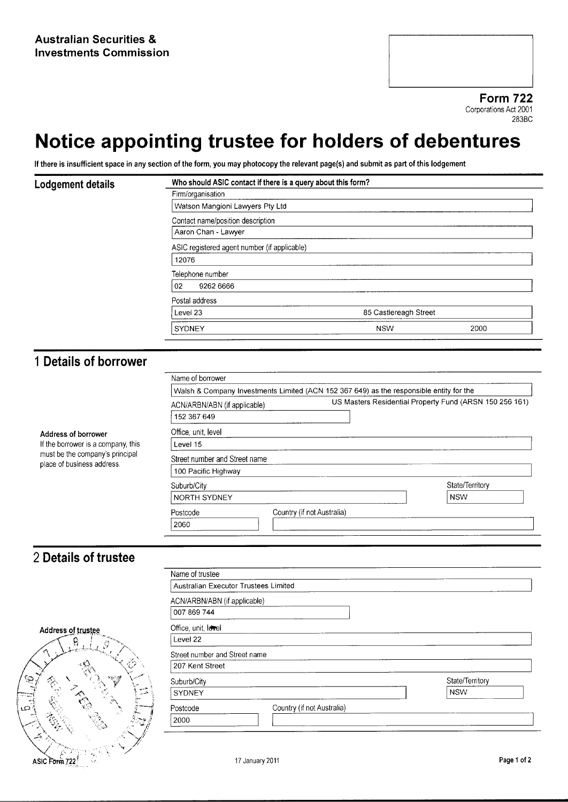Form 722 Corporations Act 2001 283BC

## Notice appointing trustee for holders of debentures

If there is insufficient space in any section of the form, you may photocopy the relevant page(s) and submit as part of this lodgement

| Lodgement details                                                                                                          | Who should ASIC contact if there is a query about this form?                                |                            |                               |  |                                              |  |  |  |
|----------------------------------------------------------------------------------------------------------------------------|---------------------------------------------------------------------------------------------|----------------------------|-------------------------------|--|----------------------------------------------|--|--|--|
|                                                                                                                            | Firm/organisation                                                                           |                            |                               |  |                                              |  |  |  |
|                                                                                                                            | Watson Mangioni Lawyers Pty Ltd<br>Contact name/position description<br>Aaron Chan - Lawyer |                            |                               |  |                                              |  |  |  |
|                                                                                                                            |                                                                                             |                            |                               |  | ASIC registered agent number (if applicable) |  |  |  |
|                                                                                                                            |                                                                                             |                            |                               |  | 12076                                        |  |  |  |
|                                                                                                                            | Telephone number                                                                            |                            |                               |  |                                              |  |  |  |
|                                                                                                                            | 02<br>9262 6666<br>Postal address                                                           |                            |                               |  |                                              |  |  |  |
|                                                                                                                            |                                                                                             |                            |                               |  | Level 23<br>85 Castlereagh Street            |  |  |  |
|                                                                                                                            | SYDNEY                                                                                      | <b>NSW</b>                 | 2000                          |  |                                              |  |  |  |
|                                                                                                                            |                                                                                             |                            |                               |  |                                              |  |  |  |
|                                                                                                                            | 1 Details of borrower                                                                       |                            |                               |  |                                              |  |  |  |
|                                                                                                                            |                                                                                             | Name of borrower           |                               |  |                                              |  |  |  |
|                                                                                                                            | Walsh & Company Investments Limited (ACN 152 367 649) as the responsible entity for the     |                            |                               |  |                                              |  |  |  |
|                                                                                                                            | US Masters Residential Property Fund (ARSN 150 256 161)<br>ACN/ARBN/ABN (if applicable)     |                            |                               |  |                                              |  |  |  |
|                                                                                                                            | 152 367 649                                                                                 |                            |                               |  |                                              |  |  |  |
| Address of borrower<br>If the borrower is a company, this<br>must be the company's principal<br>place of business address. |                                                                                             |                            |                               |  |                                              |  |  |  |
|                                                                                                                            | Office, unit, level<br>Level 15                                                             |                            |                               |  |                                              |  |  |  |
|                                                                                                                            |                                                                                             |                            |                               |  |                                              |  |  |  |
|                                                                                                                            | Street number and Street name                                                               |                            |                               |  |                                              |  |  |  |
|                                                                                                                            | 100 Pacific Highway                                                                         |                            |                               |  |                                              |  |  |  |
|                                                                                                                            | Suburb/City<br>NORTH SYDNEY                                                                 |                            | State/Territory<br><b>NSW</b> |  |                                              |  |  |  |
|                                                                                                                            |                                                                                             |                            |                               |  |                                              |  |  |  |
|                                                                                                                            | Postcode                                                                                    | Country (if not Australia) |                               |  |                                              |  |  |  |
|                                                                                                                            | 2060                                                                                        |                            |                               |  |                                              |  |  |  |
|                                                                                                                            |                                                                                             |                            |                               |  |                                              |  |  |  |
| 2 Details of trustee                                                                                                       |                                                                                             |                            |                               |  |                                              |  |  |  |
|                                                                                                                            | Name of trustee                                                                             |                            |                               |  |                                              |  |  |  |
|                                                                                                                            | Australian Executor Trustees Limited                                                        |                            |                               |  |                                              |  |  |  |
|                                                                                                                            | ACN/ARBN/ABN (if applicable)                                                                |                            |                               |  |                                              |  |  |  |
|                                                                                                                            | 007 869 744                                                                                 |                            |                               |  |                                              |  |  |  |
|                                                                                                                            | Office, unit, level                                                                         |                            |                               |  |                                              |  |  |  |
| <b>Address of trustee</b>                                                                                                  | Level 22                                                                                    |                            |                               |  |                                              |  |  |  |
| $\mathbf{R}_{\perp,l}$<br>${}^{\mathscr{L}}\mathscr{G}$                                                                    |                                                                                             |                            |                               |  |                                              |  |  |  |



|                                                          | Australian Executor Trustees Limited   |                 |  |
|----------------------------------------------------------|----------------------------------------|-----------------|--|
|                                                          | ACN/ARBN/ABN (if applicable)           |                 |  |
|                                                          | 007 869 744                            |                 |  |
| Address of trustee                                       | Office, unit, level                    |                 |  |
| $\mathcal{L}_{\mathcal{D}}$<br>◡<br>$\sim 2$<br>Ω.<br>۰, | Level 22                               |                 |  |
|                                                          | Street number and Street name          |                 |  |
|                                                          | 207 Kent Street                        |                 |  |
|                                                          | Suburb/City                            | State/Territory |  |
| الخبيب<br>الحبيب                                         | SYDNEY                                 | <b>NSW</b>      |  |
|                                                          | Country (if not Australia)<br>Postcode |                 |  |
| سحنة<br>40<br>్త<br>ñч<br>e.                             | 2000                                   |                 |  |
|                                                          |                                        |                 |  |